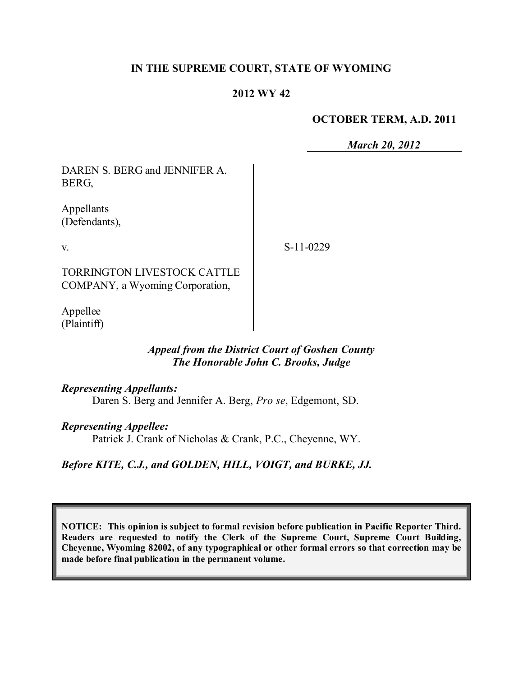## **IN THE SUPREME COURT, STATE OF WYOMING**

## **2012 WY 42**

#### **OCTOBER TERM, A.D. 2011**

*March 20, 2012*

DAREN S. BERG and JENNIFER A. BERG,

Appellants (Defendants),

v.

S-11-0229

TORRINGTON LIVESTOCK CATTLE COMPANY, a Wyoming Corporation,

Appellee (Plaintiff)

## *Appeal from the District Court of Goshen County The Honorable John C. Brooks, Judge*

*Representing Appellants:*

Daren S. Berg and Jennifer A. Berg, *Pro se*, Edgemont, SD.

#### *Representing Appellee:*

Patrick J. Crank of Nicholas & Crank, P.C., Cheyenne, WY.

*Before KITE, C.J., and GOLDEN, HILL, VOIGT, and BURKE, JJ.*

**NOTICE: This opinion is subject to formal revision before publication in Pacific Reporter Third. Readers are requested to notify the Clerk of the Supreme Court, Supreme Court Building, Cheyenne, Wyoming 82002, of any typographical or other formal errors so that correction may be made before final publication in the permanent volume.**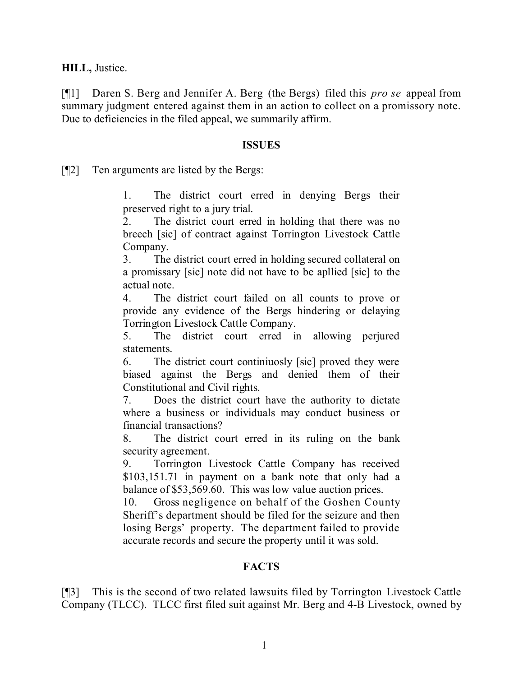**HILL,** Justice.

[¶1] Daren S. Berg and Jennifer A. Berg (the Bergs) filed this *pro se* appeal from summary judgment entered against them in an action to collect on a promissory note. Due to deficiencies in the filed appeal, we summarily affirm.

#### **ISSUES**

[¶2] Ten arguments are listed by the Bergs:

1. The district court erred in denying Bergs their preserved right to a jury trial.

2. The district court erred in holding that there was no breech [sic] of contract against Torrington Livestock Cattle Company.

3. The district court erred in holding secured collateral on a promissary [sic] note did not have to be apllied [sic] to the actual note.

4. The district court failed on all counts to prove or provide any evidence of the Bergs hindering or delaying Torrington Livestock Cattle Company.

5. The district court erred in allowing perjured statements.

6. The district court continiuosly [sic] proved they were biased against the Bergs and denied them of their Constitutional and Civil rights.

7. Does the district court have the authority to dictate where a business or individuals may conduct business or financial transactions?

8. The district court erred in its ruling on the bank security agreement.

9. Torrington Livestock Cattle Company has received \$103,151.71 in payment on a bank note that only had a balance of \$53,569.60. This was low value auction prices.

10. Gross negligence on behalf of the Goshen County Sheriff's department should be filed for the seizure and then losing Bergs' property. The department failed to provide accurate records and secure the property until it was sold.

# **FACTS**

[¶3] This is the second of two related lawsuits filed by Torrington Livestock Cattle Company (TLCC). TLCC first filed suit against Mr. Berg and 4-B Livestock, owned by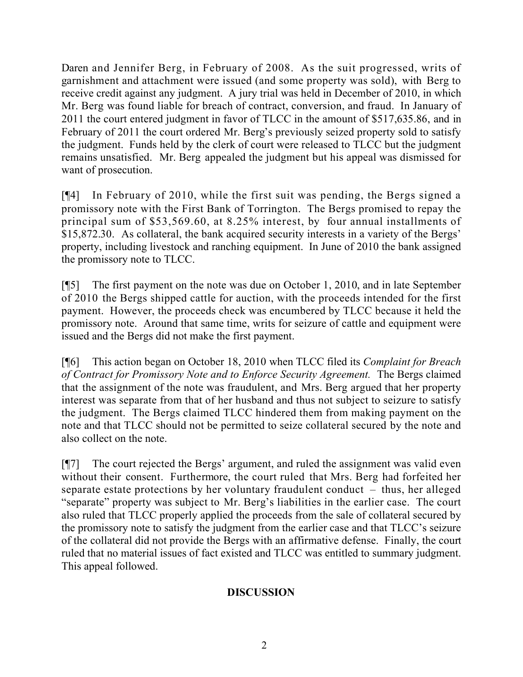Daren and Jennifer Berg, in February of 2008. As the suit progressed, writs of garnishment and attachment were issued (and some property was sold), with Berg to receive credit against any judgment. A jury trial was held in December of 2010, in which Mr. Berg was found liable for breach of contract, conversion, and fraud. In January of 2011 the court entered judgment in favor of TLCC in the amount of \$517,635.86, and in February of 2011 the court ordered Mr. Berg's previously seized property sold to satisfy the judgment. Funds held by the clerk of court were released to TLCC but the judgment remains unsatisfied. Mr. Berg appealed the judgment but his appeal was dismissed for want of prosecution.

[¶4] In February of 2010, while the first suit was pending, the Bergs signed a promissory note with the First Bank of Torrington. The Bergs promised to repay the principal sum of \$53,569.60, at 8.25% interest, by four annual installments of \$15,872.30. As collateral, the bank acquired security interests in a variety of the Bergs' property, including livestock and ranching equipment. In June of 2010 the bank assigned the promissory note to TLCC.

[¶5] The first payment on the note was due on October 1, 2010, and in late September of 2010 the Bergs shipped cattle for auction, with the proceeds intended for the first payment. However, the proceeds check was encumbered by TLCC because it held the promissory note. Around that same time, writs for seizure of cattle and equipment were issued and the Bergs did not make the first payment.

[¶6] This action began on October 18, 2010 when TLCC filed its *Complaint for Breach of Contract for Promissory Note and to Enforce Security Agreement.* The Bergs claimed that the assignment of the note was fraudulent, and Mrs. Berg argued that her property interest was separate from that of her husband and thus not subject to seizure to satisfy the judgment. The Bergs claimed TLCC hindered them from making payment on the note and that TLCC should not be permitted to seize collateral secured by the note and also collect on the note.

[¶7] The court rejected the Bergs' argument, and ruled the assignment was valid even without their consent. Furthermore, the court ruled that Mrs. Berg had forfeited her separate estate protections by her voluntary fraudulent conduct – thus, her alleged "separate" property was subject to Mr. Berg's liabilities in the earlier case. The court also ruled that TLCC properly applied the proceeds from the sale of collateral secured by the promissory note to satisfy the judgment from the earlier case and that TLCC's seizure of the collateral did not provide the Bergs with an affirmative defense. Finally, the court ruled that no material issues of fact existed and TLCC was entitled to summary judgment. This appeal followed.

# **DISCUSSION**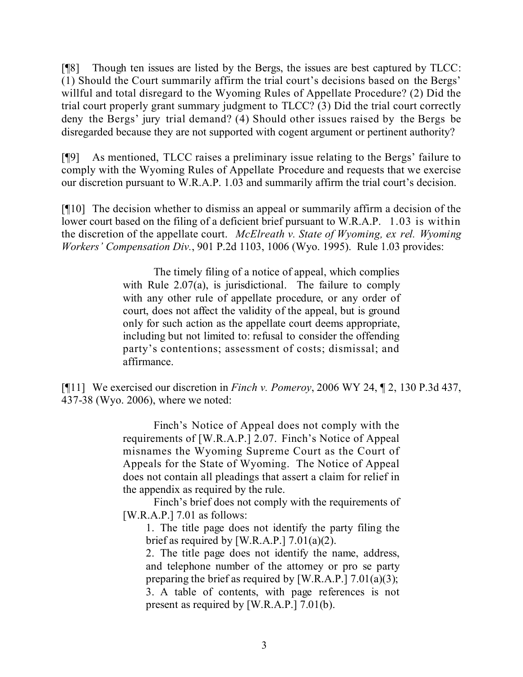[¶8] Though ten issues are listed by the Bergs, the issues are best captured by TLCC: (1) Should the Court summarily affirm the trial court's decisions based on the Bergs' willful and total disregard to the Wyoming Rules of Appellate Procedure? (2) Did the trial court properly grant summary judgment to TLCC? (3) Did the trial court correctly deny the Bergs' jury trial demand? (4) Should other issues raised by the Bergs be disregarded because they are not supported with cogent argument or pertinent authority?

[¶9] As mentioned, TLCC raises a preliminary issue relating to the Bergs' failure to comply with the Wyoming Rules of Appellate Procedure and requests that we exercise our discretion pursuant to W.R.A.P. 1.03 and summarily affirm the trial court's decision.

[¶10] The decision whether to dismiss an appeal or summarily affirm a decision of the lower court based on the filing of a deficient brief pursuant to W.R.A.P. 1.03 is within the discretion of the appellate court. *McElreath v. State of Wyoming, ex rel. Wyoming Workers' Compensation Div.*, 901 P.2d 1103, 1006 (Wyo. 1995). Rule 1.03 provides:

> The timely filing of a notice of appeal, which complies with Rule 2.07(a), is jurisdictional. The failure to comply with any other rule of appellate procedure, or any order of court, does not affect the validity of the appeal, but is ground only for such action as the appellate court deems appropriate, including but not limited to: refusal to consider the offending party's contentions; assessment of costs; dismissal; and affirmance.

[¶11] We exercised our discretion in *Finch v. Pomeroy*, 2006 WY 24, ¶ 2, 130 P.3d 437, 437-38 (Wyo. 2006), where we noted:

> Finch's Notice of Appeal does not comply with the requirements of [W.R.A.P.] 2.07. Finch's Notice of Appeal misnames the Wyoming Supreme Court as the Court of Appeals for the State of Wyoming. The Notice of Appeal does not contain all pleadings that assert a claim for relief in the appendix as required by the rule.

> Finch's brief does not comply with the requirements of [W.R.A.P.] 7.01 as follows:

1. The title page does not identify the party filing the brief as required by [W.R.A.P.]  $7.01(a)(2)$ .

2. The title page does not identify the name, address, and telephone number of the attorney or pro se party preparing the brief as required by [W.R.A.P.]  $7.01(a)(3)$ ; 3. A table of contents, with page references is not present as required by [W.R.A.P.] 7.01(b).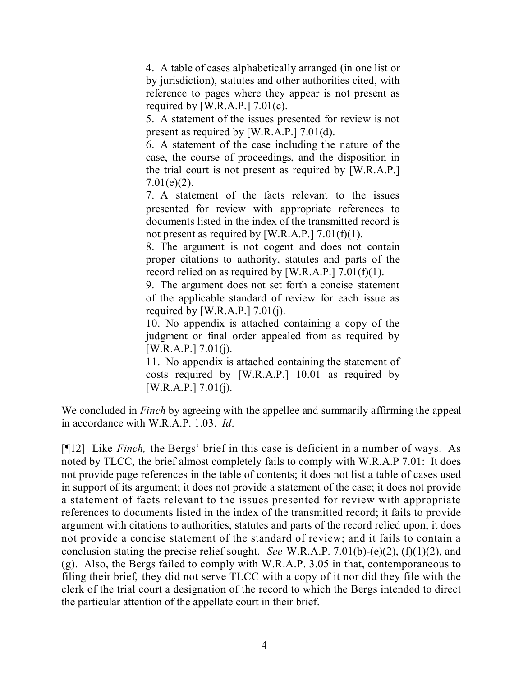4. A table of cases alphabetically arranged (in one list or by jurisdiction), statutes and other authorities cited, with reference to pages where they appear is not present as required by [W.R.A.P.]  $7.01(c)$ .

5. A statement of the issues presented for review is not present as required by [W.R.A.P.] 7.01(d).

6. A statement of the case including the nature of the case, the course of proceedings, and the disposition in the trial court is not present as required by [W.R.A.P.]  $7.01(e)(2)$ .

7. A statement of the facts relevant to the issues presented for review with appropriate references to documents listed in the index of the transmitted record is not present as required by [W.R.A.P.]  $7.01(f)(1)$ .

8. The argument is not cogent and does not contain proper citations to authority, statutes and parts of the record relied on as required by [W.R.A.P.]  $7.01(f)(1)$ .

9. The argument does not set forth a concise statement of the applicable standard of review for each issue as required by [W.R.A.P.]  $7.01(i)$ .

10. No appendix is attached containing a copy of the judgment or final order appealed from as required by  $[W.R.A.P.] 7.01(i).$ 

11. No appendix is attached containing the statement of costs required by [W.R.A.P.] 10.01 as required by  $[W.R.A.P.] 7.01(i).$ 

We concluded in *Finch* by agreeing with the appellee and summarily affirming the appeal in accordance with W.R.A.P. 1.03. *Id*.

[¶12] Like *Finch,* the Bergs' brief in this case is deficient in a number of ways. As noted by TLCC, the brief almost completely fails to comply with W.R.A.P 7.01: It does not provide page references in the table of contents; it does not list a table of cases used in support of its argument; it does not provide a statement of the case; it does not provide a statement of facts relevant to the issues presented for review with appropriate references to documents listed in the index of the transmitted record; it fails to provide argument with citations to authorities, statutes and parts of the record relied upon; it does not provide a concise statement of the standard of review; and it fails to contain a conclusion stating the precise relief sought. *See* W.R.A.P. 7.01(b)-(e)(2), (f)(1)(2), and (g). Also, the Bergs failed to comply with W.R.A.P. 3.05 in that, contemporaneous to filing their brief, they did not serve TLCC with a copy of it nor did they file with the clerk of the trial court a designation of the record to which the Bergs intended to direct the particular attention of the appellate court in their brief.